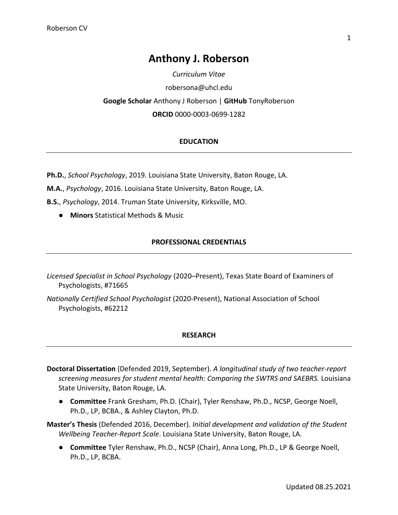# **Anthony J. Roberson**

*Curriculum Vitae* robersona@uhcl.edu **Google Scholar** Anthony J Roberson | **GitHub** TonyRoberson **ORCID** 0000-0003-0699-1282

# **EDUCATION**

**Ph.D.**, *School Psychology*, 2019. Louisiana State University, Baton Rouge, LA.

**M.A.**, *Psychology*, 2016. Louisiana State University, Baton Rouge, LA.

**B.S.**, *Psychology*, 2014. Truman State University, Kirksville, MO.

● **Minors** Statistical Methods & Music

#### **PROFESSIONAL CREDENTIALS**

*Licensed Specialist in School Psychology* (2020–Present), Texas State Board of Examiners of Psychologists, #71665

*Nationally Certified School Psychologist* (2020-Present), National Association of School Psychologists, #62212

#### **RESEARCH**

**Doctoral Dissertation** (Defended 2019, September). *A longitudinal study of two teacher-report screening measures for student mental health: Comparing the SWTRS and SAEBRS.* Louisiana State University, Baton Rouge, LA.

● **Committee** Frank Gresham, Ph.D. (Chair), Tyler Renshaw, Ph.D., NCSP, George Noell, Ph.D., LP, BCBA., & Ashley Clayton, Ph.D.

**Master's Thesis** (Defended 2016, December). *Initial development and validation of the Student Wellbeing Teacher-Report Scale*. Louisiana State University, Baton Rouge, LA.

● **Committee** Tyler Renshaw, Ph.D., NCSP (Chair), Anna Long, Ph.D., LP & George Noell, Ph.D., LP, BCBA.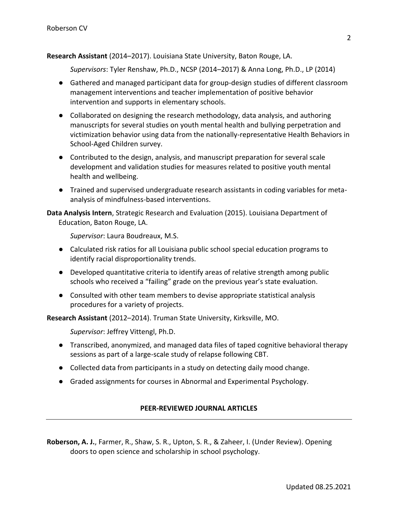**Research Assistant** (2014–2017). Louisiana State University, Baton Rouge, LA.

*Supervisors*: Tyler Renshaw, Ph.D., NCSP (2014–2017) & Anna Long, Ph.D., LP (2014)

- Gathered and managed participant data for group-design studies of different classroom management interventions and teacher implementation of positive behavior intervention and supports in elementary schools.
- Collaborated on designing the research methodology, data analysis, and authoring manuscripts for several studies on youth mental health and bullying perpetration and victimization behavior using data from the nationally-representative Health Behaviors in School-Aged Children survey.
- Contributed to the design, analysis, and manuscript preparation for several scale development and validation studies for measures related to positive youth mental health and wellbeing.
- Trained and supervised undergraduate research assistants in coding variables for metaanalysis of mindfulness-based interventions.

**Data Analysis Intern**, Strategic Research and Evaluation (2015). Louisiana Department of Education, Baton Rouge, LA.

*Supervisor*: Laura Boudreaux, M.S.

- Calculated risk ratios for all Louisiana public school special education programs to identify racial disproportionality trends.
- Developed quantitative criteria to identify areas of relative strength among public schools who received a "failing" grade on the previous year's state evaluation.
- Consulted with other team members to devise appropriate statistical analysis procedures for a variety of projects.

**Research Assistant** (2012–2014). Truman State University, Kirksville, MO.

*Supervisor*: Jeffrey Vittengl, Ph.D.

- Transcribed, anonymized, and managed data files of taped cognitive behavioral therapy sessions as part of a large-scale study of relapse following CBT.
- Collected data from participants in a study on detecting daily mood change.
- Graded assignments for courses in Abnormal and Experimental Psychology.

# **PEER-REVIEWED JOURNAL ARTICLES**

**Roberson, A. J.**, Farmer, R., Shaw, S. R., Upton, S. R., & Zaheer, I. (Under Review). Opening doors to open science and scholarship in school psychology.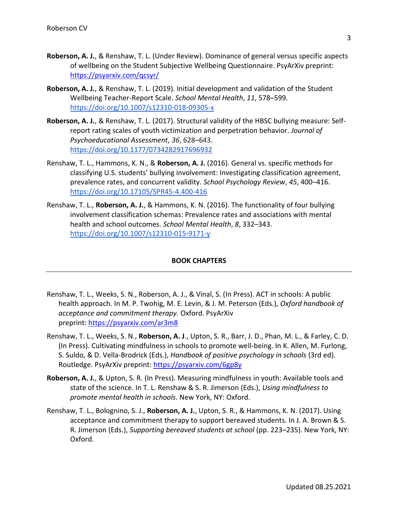- **Roberson, A. J.**, & Renshaw, T. L. (Under Review). Dominance of general versus specific aspects of wellbeing on the Student Subjective Wellbeing Questionnaire. PsyArXiv preprint: <https://psyarxiv.com/qcsyr/>
- **Roberson, A. J.**, & Renshaw, T. L. (2019). Initial development and validation of the Student Wellbeing Teacher-Report Scale. *School Mental Health*, *11*, 578–599. <https://doi.org/10.1007/s12310-018-09305-x>
- **Roberson, A. J.**, & Renshaw, T. L. (2017). Structural validity of the HBSC bullying measure: Selfreport rating scales of youth victimization and perpetration behavior. *Journal of Psychoeducational Assessment*, *36*, 628–643. <https://doi.org/10.1177/0734282917696932>
- Renshaw, T. L., Hammons, K. N., & **Roberson, A. J.** (2016). General vs. specific methods for classifying U.S. students' bullying involvement: Investigating classification agreement, prevalence rates, and concurrent validity. *School Psychology Review*, *45*, 400–416. <https://doi.org/10.17105/SPR45-4.400-416>
- Renshaw, T. L., **Roberson, A. J.**, & Hammons, K. N. (2016). The functionality of four bullying involvement classification schemas: Prevalence rates and associations with mental health and school outcomes. *School Mental Health*, *8*, 332–343. <https://doi.org/10.1007/s12310-015-9171-y>

## **BOOK CHAPTERS**

- Renshaw, T. L., Weeks, S. N., Roberson, A. J., & Vinal, S. (In Press). ACT in schools: A public health approach. In M. P. Twohig, M. E. Levin, & J. M. Peterson (Eds.), *Oxford handbook of acceptance and commitment therapy.* Oxford. PsyArXiv preprint: <https://psyarxiv.com/ar3m8>
- Renshaw, T. L., Weeks, S. N., **Roberson, A. J**., Upton, S. R., Barr, J. D., Phan, M. L., & Farley, C. D. (In Press). Cultivating mindfulness in schools to promote well-being. In K. Allen, M. Furlong, S. Suldo, & D. Vella-Brodrick (Eds.), *Handbook of positive psychology in schools* (3rd ed). Routledge. PsyArXiv preprint: <https://psyarxiv.com/6gp8y>
- **Roberson, A. J.**, & Upton, S. R. (In Press). Measuring mindfulness in youth: Available tools and state of the science. In T. L. Renshaw & S. R. Jimerson (Eds.), *Using mindfulness to promote mental health in schools*. New York, NY: Oxford.
- Renshaw, T. L., Bolognino, S. J., **Roberson, A. J.**, Upton, S. R., & Hammons, K. N. (2017). Using acceptance and commitment therapy to support bereaved students. In J. A. Brown & S. R. Jimerson (Eds.), *Supporting bereaved students at school* (pp. 223–235). New York, NY: Oxford.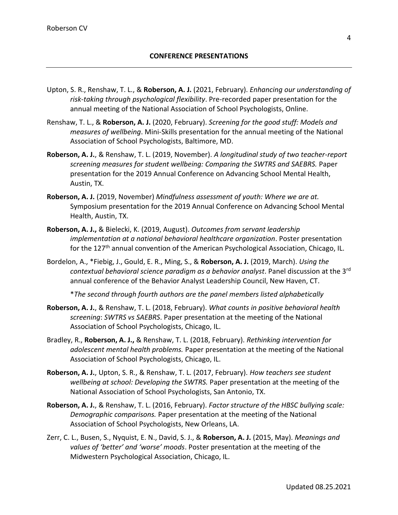- Upton, S. R., Renshaw, T. L., & **Roberson, A. J.** (2021, February). *Enhancing our understanding of risk-taking through psychological flexibility*. Pre-recorded paper presentation for the annual meeting of the National Association of School Psychologists, Online.
- Renshaw, T. L., & **Roberson, A. J.** (2020, February). *Screening for the good stuff: Models and measures of wellbeing*. Mini-Skills presentation for the annual meeting of the National Association of School Psychologists, Baltimore, MD.
- **Roberson, A. J.**, & Renshaw, T. L. (2019, November). *A longitudinal study of two teacher-report screening measures for student wellbeing: Comparing the SWTRS and SAEBRS.* Paper presentation for the 2019 Annual Conference on Advancing School Mental Health, Austin, TX.
- **Roberson, A. J.** (2019, November) *Mindfulness assessment of youth: Where we are at.* Symposium presentation for the 2019 Annual Conference on Advancing School Mental Health, Austin, TX.
- **Roberson, A. J.,** & Bielecki, K. (2019, August). *Outcomes from servant leadership implementation at a national behavioral healthcare organization*. Poster presentation for the 127<sup>th</sup> annual convention of the American Psychological Association, Chicago, IL.
- Bordelon, A., \*Fiebig, J., Gould, E. R., Ming, S., & **Roberson, A. J.** (2019, March). *Using the contextual behavioral science paradigm as a behavior analyst*. Panel discussion at the 3rd annual conference of the Behavior Analyst Leadership Council, New Haven, CT.

\**The second through fourth authors are the panel members listed alphabetically*

- **Roberson, A. J.**, & Renshaw, T. L. (2018, February). *What counts in positive behavioral health screening*: *SWTRS vs SAEBRS*. Paper presentation at the meeting of the National Association of School Psychologists, Chicago, IL.
- Bradley, R., **Roberson, A. J.,** & Renshaw, T. L. (2018, February). *Rethinking intervention for adolescent mental health problems.* Paper presentation at the meeting of the National Association of School Psychologists, Chicago, IL.
- **Roberson, A. J.**, Upton, S. R., & Renshaw, T. L. (2017, February). *How teachers see student wellbeing at school: Developing the SWTRS.* Paper presentation at the meeting of the National Association of School Psychologists, San Antonio, TX.
- **Roberson, A. J.**, & Renshaw, T. L. (2016, February). *Factor structure of the HBSC bullying scale: Demographic comparisons.* Paper presentation at the meeting of the National Association of School Psychologists, New Orleans, LA.
- Zerr, C. L., Busen, S., Nyquist, E. N., David, S. J., & **Roberson, A. J.** (2015, May). *Meanings and values of 'better' and 'worse' moods*. Poster presentation at the meeting of the Midwestern Psychological Association, Chicago, IL.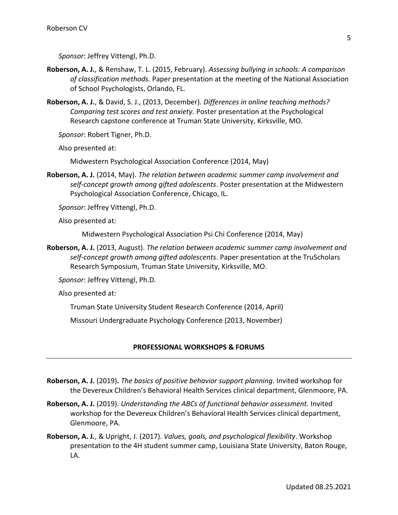*Sponsor*: Jeffrey Vittengl, Ph.D.

- **Roberson, A. J.**, & Renshaw, T. L. (2015, February). *Assessing bullying in schools: A comparison of classification methods.* Paper presentation at the meeting of the National Association of School Psychologists, Orlando, FL.
- **Roberson, A. J.**, & David, S. J., (2013, December). *Differences in online teaching methods? Comparing test scores and test anxiety.* Poster presentation at the Psychological Research capstone conference at Truman State University, Kirksville, MO.

*Sponsor*: Robert Tigner, Ph.D.

Also presented at:

Midwestern Psychological Association Conference (2014, May)

**Roberson, A. J.** (2014, May). *The relation between academic summer camp involvement and self-concept growth among gifted adolescents*. Poster presentation at the Midwestern Psychological Association Conference, Chicago, IL.

*Sponsor*: Jeffrey Vittengl, Ph.D.

Also presented at:

Midwestern Psychological Association Psi Chi Conference (2014, May)

**Roberson, A. J.** (2013, August). *The relation between academic summer camp involvement and self-concept growth among gifted adolescents*. Paper presentation at the TruScholars Research Symposium, Truman State University, Kirksville, MO.

*Sponsor*: Jeffrey Vittengl, Ph.D.

Also presented at:

Truman State University Student Research Conference (2014, April)

Missouri Undergraduate Psychology Conference (2013, November)

## **PROFESSIONAL WORKSHOPS & FORUMS**

- **Roberson, A. J.** (2019)**.** *The basics of positive behavior support planning*. Invited workshop for the Devereux Children's Behavioral Health Services clinical department, Glenmoore, PA.
- **Roberson, A. J.** (2019). *Understanding the ABCs of functional behavior assessment.* Invited workshop for the Devereux Children's Behavioral Health Services clinical department, Glenmoore, PA.
- **Roberson, A. J.**, & Upright, J. (2017). *Values, goals, and psychological flexibility*. Workshop presentation to the 4H student summer camp, Louisiana State University, Baton Rouge, LA.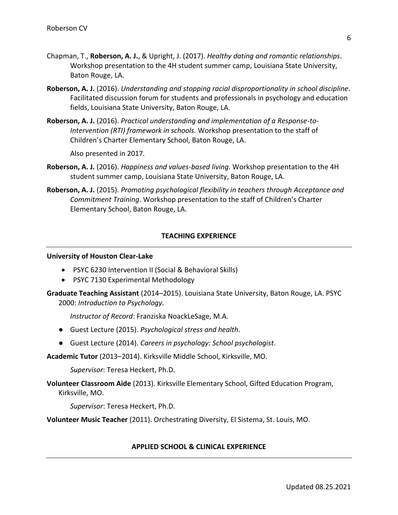- Chapman, T., **Roberson, A. J.**, & Upright, J. (2017). *Healthy dating and romantic relationships*. Workshop presentation to the 4H student summer camp, Louisiana State University, Baton Rouge, LA.
- **Roberson, A. J.** (2016). *Understanding and stopping racial disproportionality in school discipline*. Facilitated discussion forum for students and professionals in psychology and education fields, Louisiana State University, Baton Rouge, LA.
- **Roberson, A. J.** (2016). *Practical understanding and implementation of a Response-to-Intervention (RTI) framework in schools.* Workshop presentation to the staff of Children's Charter Elementary School, Baton Rouge, LA.

Also presented in 2017*.*

- **Roberson, A. J.** (2016). *Happiness and values-based living*. Workshop presentation to the 4H student summer camp, Louisiana State University, Baton Rouge, LA.
- **Roberson, A. J.** (2015). *Promoting psychological flexibility in teachers through Acceptance and Commitment Training*. Workshop presentation to the staff of Children's Charter Elementary School, Baton Rouge, LA.

## **TEACHING EXPERIENCE**

#### **University of Houston Clear-Lake**

- PSYC 6230 Intervention II (Social & Behavioral Skills)
- PSYC 7130 Experimental Methodology

**Graduate Teaching Assistant** (2014–2015). Louisiana State University, Baton Rouge, LA. PSYC 2000: *Introduction to Psychology.*

*Instructor of Record*: Franziska NoackLeSage, M.A.

- Guest Lecture (2015). *Psychological stress and health*.
- Guest Lecture (2014). *Careers in psychology: School psychologist*.

**Academic Tutor** (2013–2014). Kirksville Middle School, Kirksville, MO.

*Supervisor*: Teresa Heckert, Ph.D.

**Volunteer Classroom Aide** (2013). Kirksville Elementary School, Gifted Education Program, Kirksville, MO.

*Supervisor*: Teresa Heckert, Ph.D.

**Volunteer Music Teacher** (2011). Orchestrating Diversity, El Sistema, St. Louis, MO.

#### **APPLIED SCHOOL & CLINICAL EXPERIENCE**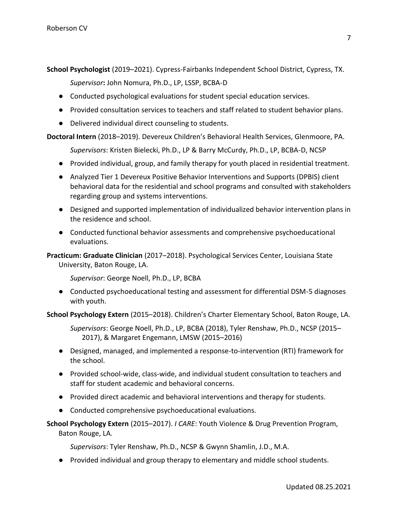**School Psychologist** (2019–2021). Cypress-Fairbanks Independent School District, Cypress, TX.

*Supervisor***:** John Nomura, Ph.D., LP, LSSP, BCBA-D

- Conducted psychological evaluations for student special education services.
- Provided consultation services to teachers and staff related to student behavior plans.
- Delivered individual direct counseling to students.

**Doctoral Intern** (2018–2019). Devereux Children's Behavioral Health Services, Glenmoore, PA.

*Supervisors*: Kristen Bielecki, Ph.D., LP & Barry McCurdy, Ph.D., LP, BCBA-D, NCSP

- Provided individual, group, and family therapy for youth placed in residential treatment.
- Analyzed Tier 1 Devereux Positive Behavior Interventions and Supports (DPBIS) client behavioral data for the residential and school programs and consulted with stakeholders regarding group and systems interventions.
- Designed and supported implementation of individualized behavior intervention plans in the residence and school.
- Conducted functional behavior assessments and comprehensive psychoeducational evaluations.

**Practicum: Graduate Clinician** (2017–2018). Psychological Services Center, Louisiana State University, Baton Rouge, LA.

*Supervisor*: George Noell, Ph.D., LP, BCBA

● Conducted psychoeducational testing and assessment for differential DSM-5 diagnoses with youth.

**School Psychology Extern** (2015–2018). Children's Charter Elementary School, Baton Rouge, LA.

*Supervisors*: George Noell, Ph.D., LP, BCBA (2018), Tyler Renshaw, Ph.D., NCSP (2015– 2017), & Margaret Engemann, LMSW (2015–2016)

- Designed, managed, and implemented a response-to-intervention (RTI) framework for the school.
- Provided school-wide, class-wide, and individual student consultation to teachers and staff for student academic and behavioral concerns.
- Provided direct academic and behavioral interventions and therapy for students.
- Conducted comprehensive psychoeducational evaluations.

**School Psychology Extern** (2015–2017). *I CARE*: Youth Violence & Drug Prevention Program, Baton Rouge, LA.

*Supervisors*: Tyler Renshaw, Ph.D., NCSP & Gwynn Shamlin, J.D., M.A.

● Provided individual and group therapy to elementary and middle school students.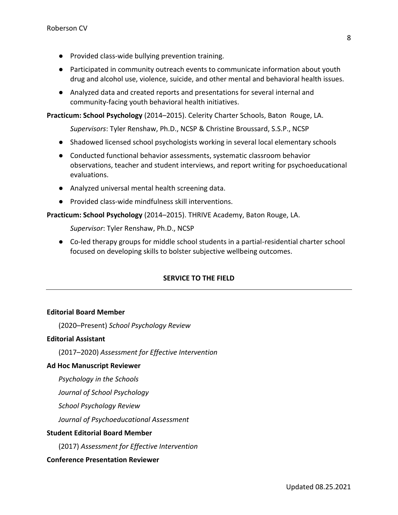- Provided class-wide bullying prevention training.
- Participated in community outreach events to communicate information about youth drug and alcohol use, violence, suicide, and other mental and behavioral health issues.
- Analyzed data and created reports and presentations for several internal and community-facing youth behavioral health initiatives.

**Practicum: School Psychology** (2014–2015). Celerity Charter Schools, Baton Rouge, LA.

*Supervisors*: Tyler Renshaw, Ph.D., NCSP & Christine Broussard, S.S.P., NCSP

- Shadowed licensed school psychologists working in several local elementary schools
- Conducted functional behavior assessments, systematic classroom behavior observations, teacher and student interviews, and report writing for psychoeducational evaluations.
- Analyzed universal mental health screening data.
- Provided class-wide mindfulness skill interventions.

**Practicum: School Psychology** (2014–2015). THRIVE Academy, Baton Rouge, LA.

*Supervisor*: Tyler Renshaw, Ph.D., NCSP

● Co-led therapy groups for middle school students in a partial-residential charter school focused on developing skills to bolster subjective wellbeing outcomes.

# **SERVICE TO THE FIELD**

#### **Editorial Board Member**

(2020–Present) *School Psychology Review*

#### **Editorial Assistant**

(2017–2020) *Assessment for Effective Intervention*

#### **Ad Hoc Manuscript Reviewer**

*Psychology in the Schools*

*Journal of School Psychology*

*School Psychology Review*

*Journal of Psychoeducational Assessment*

#### **Student Editorial Board Member**

(2017) *Assessment for Effective Intervention*

## **Conference Presentation Reviewer**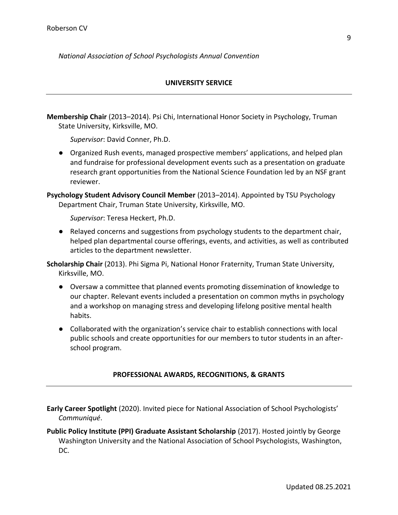*National Association of School Psychologists Annual Convention*

## **UNIVERSITY SERVICE**

**Membership Chair** (2013–2014). Psi Chi, International Honor Society in Psychology, Truman State University, Kirksville, MO.

*Supervisor*: David Conner, Ph.D.

● Organized Rush events, managed prospective members' applications, and helped plan and fundraise for professional development events such as a presentation on graduate research grant opportunities from the National Science Foundation led by an NSF grant reviewer.

**Psychology Student Advisory Council Member** (2013–2014). Appointed by TSU Psychology Department Chair, Truman State University, Kirksville, MO.

*Supervisor*: Teresa Heckert, Ph.D.

● Relayed concerns and suggestions from psychology students to the department chair, helped plan departmental course offerings, events, and activities, as well as contributed articles to the department newsletter.

**Scholarship Chair** (2013). Phi Sigma Pi, National Honor Fraternity, Truman State University, Kirksville, MO.

- Oversaw a committee that planned events promoting dissemination of knowledge to our chapter. Relevant events included a presentation on common myths in psychology and a workshop on managing stress and developing lifelong positive mental health habits.
- Collaborated with the organization's service chair to establish connections with local public schools and create opportunities for our members to tutor students in an afterschool program.

## **PROFESSIONAL AWARDS, RECOGNITIONS, & GRANTS**

**Early Career Spotlight** (2020). Invited piece for National Association of School Psychologists' *Communiqué*.

**Public Policy Institute (PPI) Graduate Assistant Scholarship** (2017). Hosted jointly by George Washington University and the National Association of School Psychologists, Washington, DC.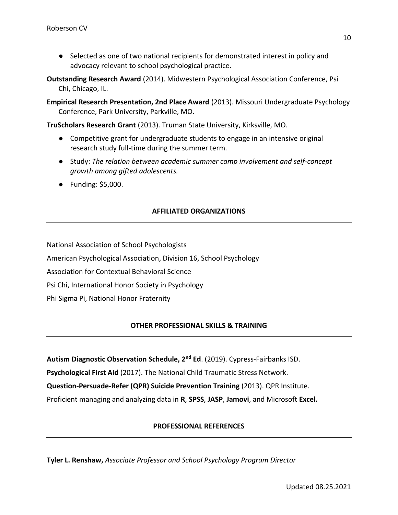● Selected as one of two national recipients for demonstrated interest in policy and advocacy relevant to school psychological practice.

**Outstanding Research Award** (2014). Midwestern Psychological Association Conference, Psi Chi, Chicago, IL.

**Empirical Research Presentation, 2nd Place Award** (2013). Missouri Undergraduate Psychology Conference, Park University, Parkville, MO.

**TruScholars Research Grant** (2013). Truman State University, Kirksville, MO.

- Competitive grant for undergraduate students to engage in an intensive original research study full-time during the summer term.
- Study: *The relation between academic summer camp involvement and self-concept growth among gifted adolescents.*
- Funding: \$5,000.

# **AFFILIATED ORGANIZATIONS**

National Association of School Psychologists American Psychological Association, Division 16, School Psychology Association for Contextual Behavioral Science Psi Chi, International Honor Society in Psychology Phi Sigma Pi, National Honor Fraternity

# **OTHER PROFESSIONAL SKILLS & TRAINING**

**Autism Diagnostic Observation Schedule, 2nd Ed**. (2019). Cypress-Fairbanks ISD.

**Psychological First Aid** (2017). The National Child Traumatic Stress Network.

**Question-Persuade-Refer (QPR) Suicide Prevention Training** (2013). QPR Institute.

Proficient managing and analyzing data in **R**, **SPSS**, **JASP**, **Jamovi**, and Microsoft **Excel.**

## **PROFESSIONAL REFERENCES**

**Tyler L. Renshaw,** *Associate Professor and School Psychology Program Director*